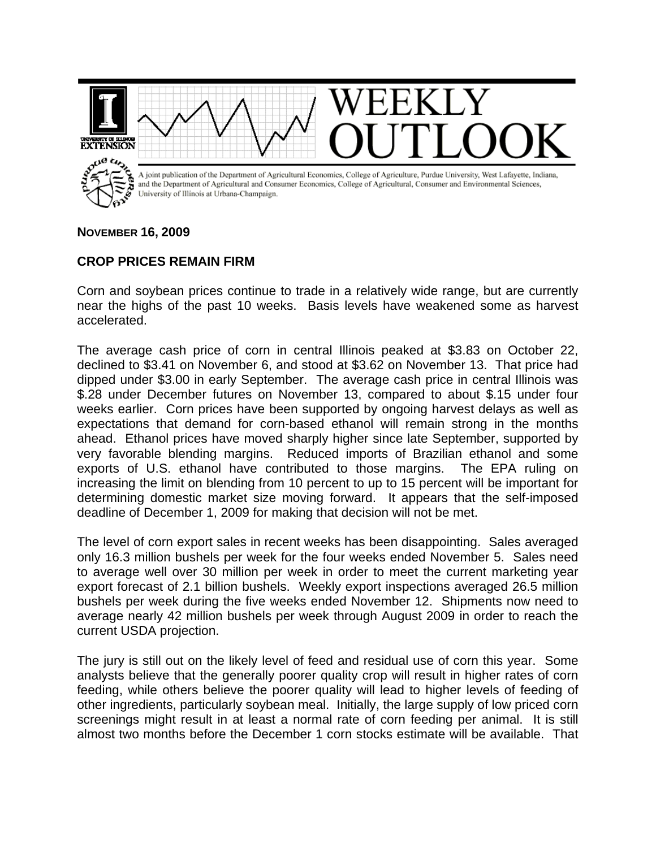

## **NOVEMBER 16, 2009**

## **CROP PRICES REMAIN FIRM**

Corn and soybean prices continue to trade in a relatively wide range, but are currently near the highs of the past 10 weeks. Basis levels have weakened some as harvest accelerated.

The average cash price of corn in central Illinois peaked at \$3.83 on October 22, declined to \$3.41 on November 6, and stood at \$3.62 on November 13. That price had dipped under \$3.00 in early September. The average cash price in central Illinois was \$.28 under December futures on November 13, compared to about \$.15 under four weeks earlier. Corn prices have been supported by ongoing harvest delays as well as expectations that demand for corn-based ethanol will remain strong in the months ahead. Ethanol prices have moved sharply higher since late September, supported by very favorable blending margins. Reduced imports of Brazilian ethanol and some exports of U.S. ethanol have contributed to those margins. The EPA ruling on increasing the limit on blending from 10 percent to up to 15 percent will be important for determining domestic market size moving forward. It appears that the self-imposed deadline of December 1, 2009 for making that decision will not be met.

The level of corn export sales in recent weeks has been disappointing. Sales averaged only 16.3 million bushels per week for the four weeks ended November 5. Sales need to average well over 30 million per week in order to meet the current marketing year export forecast of 2.1 billion bushels. Weekly export inspections averaged 26.5 million bushels per week during the five weeks ended November 12. Shipments now need to average nearly 42 million bushels per week through August 2009 in order to reach the current USDA projection.

The jury is still out on the likely level of feed and residual use of corn this year. Some analysts believe that the generally poorer quality crop will result in higher rates of corn feeding, while others believe the poorer quality will lead to higher levels of feeding of other ingredients, particularly soybean meal. Initially, the large supply of low priced corn screenings might result in at least a normal rate of corn feeding per animal. It is still almost two months before the December 1 corn stocks estimate will be available. That